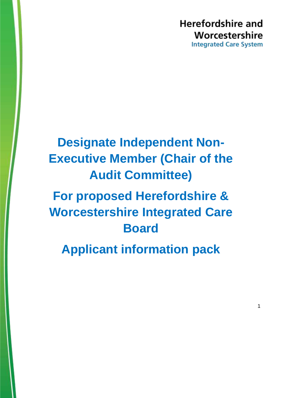# **Herefordshire and** Worcestershire **Integrated Care System**

# **Designate Independent Non-Executive Member (Chair of the Audit Committee)**

# **For proposed Herefordshire & Worcestershire Integrated Care Board**

**Applicant information pack**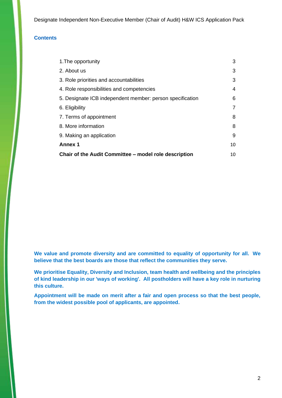## **Contents**

| Chair of the Audit Committee – model role description     | 10 |
|-----------------------------------------------------------|----|
| <b>Annex 1</b>                                            | 10 |
| 9. Making an application                                  | 9  |
| 8. More information                                       | 8  |
| 7. Terms of appointment                                   | 8  |
| 6. Eligibility                                            | 7  |
| 5. Designate ICB independent member: person specification | 6  |
| 4. Role responsibilities and competencies                 | 4  |
| 3. Role priorities and accountabilities                   | 3  |
| 2. About us                                               | 3  |
| 1. The opportunity                                        | 3  |

**We value and promote diversity and are committed to equality of opportunity for all. We believe that the best boards are those that reflect the communities they serve.**

**We prioritise Equality, Diversity and Inclusion, team health and wellbeing and the principles of kind leadership in our 'ways of working'. All postholders will have a key role in nurturing this culture.**

**Appointment will be made on merit after a fair and open process so that the best people, from the widest possible pool of applicants, are appointed.**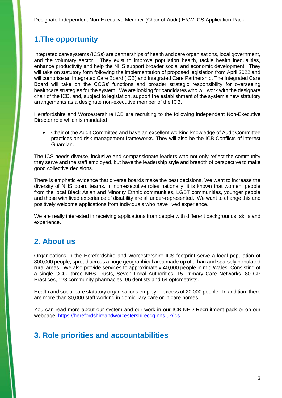# <span id="page-2-0"></span>**1.The opportunity**

Integrated care systems (ICSs) are partnerships of health and care organisations, local government, and the voluntary sector. They exist to improve population health, tackle health inequalities, enhance productivity and help the NHS support broader social and economic development. They will take on statutory form following the implementation of proposed legislation from April 2022 and will comprise an Integrated Care Board (ICB) and Integrated Care Partnership. The Integrated Care Board will take on the CCGs' functions and broader strategic responsibility for overseeing healthcare strategies for the system. We are looking for candidates who will work with the designate chair of the ICB, and, subject to legislation, support the establishment of the system's new statutory arrangements as a designate non-executive member of the ICB.

Herefordshire and Worcestershire ICB are recruiting to the following independent Non-Executive Director role which is mandated

• Chair of the Audit Committee and have an excellent working knowledge of Audit Committee practices and risk management frameworks. They will also be the ICB Conflicts of interest Guardian.

The ICS needs diverse, inclusive and compassionate leaders who not only reflect the community they serve and the staff employed, but have the leadership style and breadth of perspective to make good collective decisions.

There is emphatic evidence that diverse boards make the best decisions. We want to increase the diversity of NHS board teams. In non-executive roles nationally, it is known that women, people from the local Black Asian and Minority Ethnic communities, LGBT communities, younger people and those with lived experience of disability are all under-represented. We want to change this and positively welcome applications from individuals who have lived experience.

We are really interested in receiving applications from people with different backgrounds, skills and experience.

# <span id="page-2-1"></span>**2. About us**

Organisations in the Herefordshire and Worcestershire ICS footprint serve a local population of 800,000 people, spread across a huge geographical area made up of urban and sparsely populated rural areas. We also provide services to approximately 40,000 people in mid Wales. Consisting of a single CCG, three NHS Trusts, Seven Local Authorities, 15 Primary Care Networks, 80 GP Practices, 123 community pharmacies, 96 dentists and 64 optometrists.

Health and social care statutory organisations employ in excess of 20,000 people. In addition, there are more than 30,000 staff working in domiciliary care or in care homes.

You can read more about our system and our work in our ICB NED Recruitment pack or on our webpage,<https://herefordshireandworcestershireccg.nhs.uk/ics>

# <span id="page-2-2"></span>**3. Role priorities and accountabilities**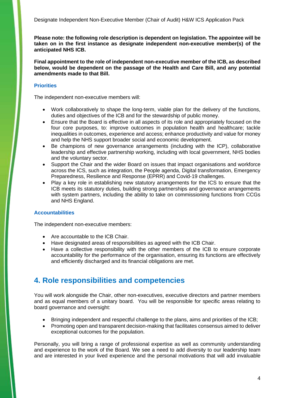**Please note: the following role description is dependent on legislation. The appointee will be taken on in the first instance as designate independent non-executive member(s) of the anticipated NHS ICB.** 

**Final appointment to the role of independent non-executive member of the ICB, as described below, would be dependent on the passage of the Health and Care Bill, and any potential amendments made to that Bill.** 

## **Priorities**

The independent non-executive members will:

- Work collaboratively to shape the long-term, viable plan for the delivery of the functions, duties and objectives of the ICB and for the stewardship of public money.
- Ensure that the Board is effective in all aspects of its role and appropriately focused on the four core purposes, to: improve outcomes in population health and healthcare; tackle inequalities in outcomes, experience and access; enhance productivity and value for money and help the NHS support broader social and economic development.
- Be champions of new governance arrangements (including with the ICP), collaborative leadership and effective partnership working, including with local government, NHS bodies and the voluntary sector.
- Support the Chair and the wider Board on issues that impact organisations and workforce across the ICS, such as integration, the People agenda, Digital transformation, Emergency Preparedness, Resilience and Response (EPRR) and Covid-19 challenges.
- Play a key role in establishing new statutory arrangements for the ICS to ensure that the ICB meets its statutory duties, building strong partnerships and governance arrangements with system partners, including the ability to take on commissioning functions from CCGs and NHS England.

## **Accountabilities**

The independent non-executive members:

- Are accountable to the ICB Chair.
- Have designated areas of responsibilities as agreed with the ICB Chair.
- Have a collective responsibility with the other members of the ICB to ensure corporate accountability for the performance of the organisation, ensuring its functions are effectively and efficiently discharged and its financial obligations are met.

# <span id="page-3-0"></span>**4. Role responsibilities and competencies**

You will work alongside the Chair, other non-executives, executive directors and partner members and as equal members of a unitary board. You will be responsible for specific areas relating to board governance and oversight:

- Bringing independent and respectful challenge to the plans, aims and priorities of the ICB;
- Promoting open and transparent decision-making that facilitates consensus aimed to deliver exceptional outcomes for the population.

Personally, you will bring a range of professional expertise as well as community understanding and experience to the work of the Board. We see a need to add diversity to our leadership team and are interested in your lived experience and the personal motivations that will add invaluable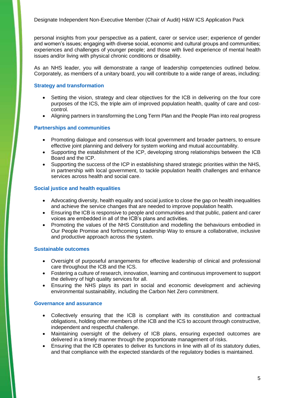personal insights from your perspective as a patient, carer or service user; experience of gender and women's issues; engaging with diverse social, economic and cultural groups and communities; experiences and challenges of younger people; and those with lived experience of mental health issues and/or living with physical chronic conditions or disability.

As an NHS leader, you will demonstrate a range of leadership competencies outlined below. Corporately, as members of a unitary board, you will contribute to a wide range of areas, including:

### **Strategy and transformation**

- Setting the vision, strategy and clear objectives for the ICB in delivering on the four core purposes of the ICS, the triple aim of improved population health, quality of care and costcontrol.
- Aligning partners in transforming the Long Term Plan and the People Plan into real progress

## **Partnerships and communities**

- Promoting dialogue and consensus with local government and broader partners, to ensure effective joint planning and delivery for system working and mutual accountability.
- Supporting the establishment of the ICP, developing strong relationships between the ICB Board and the ICP.
- Supporting the success of the ICP in establishing shared strategic priorities within the NHS, in partnership with local government, to tackle population health challenges and enhance services across health and social care.

## **Social justice and health equalities**

- Advocating diversity, health equality and social justice to close the gap on health inequalities and achieve the service changes that are needed to improve population health.
- Ensuring the ICB is responsive to people and communities and that public, patient and carer voices are embedded in all of the ICB's plans and activities.
- Promoting the values of the NHS Constitution and modelling the behaviours embodied in Our People Promise and forthcoming Leadership Way to ensure a collaborative, inclusive and productive approach across the system.

### **Sustainable outcomes**

- Oversight of purposeful arrangements for effective leadership of clinical and professional care throughout the ICB and the ICS.
- Fostering a culture of research, innovation, learning and continuous improvement to support the delivery of high quality services for all.
- Ensuring the NHS plays its part in social and economic development and achieving environmental sustainability, including the Carbon Net Zero commitment.

### **Governance and assurance**

- Collectively ensuring that the ICB is compliant with its constitution and contractual obligations, holding other members of the ICB and the ICS to account through constructive, independent and respectful challenge.
- Maintaining oversight of the delivery of ICB plans, ensuring expected outcomes are delivered in a timely manner through the proportionate management of risks.
- Ensuring that the ICB operates to deliver its functions in line with all of its statutory duties, and that compliance with the expected standards of the regulatory bodies is maintained.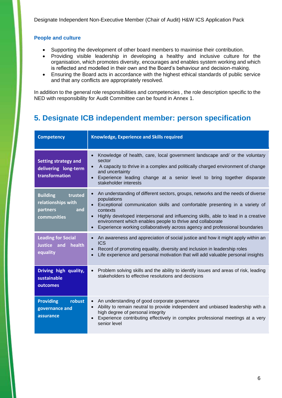## **People and culture**

- Supporting the development of other board members to maximise their contribution.
- Providing visible leadership in developing a healthy and inclusive culture for the organisation, which promotes diversity, encourages and enables system working and which is reflected and modelled in their own and the Board's behaviour and decision-making.
- Ensuring the Board acts in accordance with the highest ethical standards of public service and that any conflicts are appropriately resolved.

In addition to the general role responsibilities and competencies , the role description specific to the NED with responsibility for Audit Committee can be found in Annex 1.

# <span id="page-5-0"></span>**5. Designate ICB independent member: person specification**

| <b>Competency</b>                                                                  | Knowledge, Experience and Skills required                                                                                                                                                                                                                                                                                                                                                                                                                            |
|------------------------------------------------------------------------------------|----------------------------------------------------------------------------------------------------------------------------------------------------------------------------------------------------------------------------------------------------------------------------------------------------------------------------------------------------------------------------------------------------------------------------------------------------------------------|
| <b>Setting strategy and</b><br>delivering long-term<br>transformation              | Knowledge of health, care, local government landscape and/ or the voluntary<br>$\bullet$<br>sector<br>A capacity to thrive in a complex and politically charged environment of change<br>and uncertainty<br>Experience leading change at a senior level to bring together disparate<br>stakeholder interests                                                                                                                                                         |
| <b>Building</b><br>trusted<br>relationships with<br>and<br>partners<br>communities | An understanding of different sectors, groups, networks and the needs of diverse<br>$\bullet$<br>populations<br>Exceptional communication skills and comfortable presenting in a variety of<br>contexts<br>Highly developed interpersonal and influencing skills, able to lead in a creative<br>$\bullet$<br>environment which enables people to thrive and collaborate<br>Experience working collaboratively across agency and professional boundaries<br>$\bullet$ |
| <b>Leading for Social</b><br>Justice and health<br>equality                        | An awareness and appreciation of social justice and how it might apply within an<br>$\bullet$<br><b>ICS</b><br>Record of promoting equality, diversity and inclusion in leadership roles<br>$\bullet$<br>Life experience and personal motivation that will add valuable personal insights                                                                                                                                                                            |
| Driving high quality,<br>sustainable<br>outcomes                                   | Problem solving skills and the ability to identify issues and areas of risk, leading<br>$\bullet$<br>stakeholders to effective resolutions and decisions                                                                                                                                                                                                                                                                                                             |
| <b>Providing</b><br>robust<br>governance and<br>assurance                          | An understanding of good corporate governance<br>$\bullet$<br>Ability to remain neutral to provide independent and unbiased leadership with a<br>$\bullet$<br>high degree of personal integrity<br>Experience contributing effectively in complex professional meetings at a very<br>$\bullet$<br>senior level                                                                                                                                                       |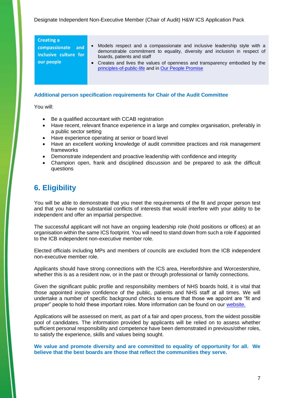#### **Creating a**

**compassionate and inclusive culture for our people** 

- Models respect and a compassionate and inclusive leadership style with a demonstrable commitment to equality, diversity and inclusion in respect of boards, patients and staff
- Creates and lives the values of openness and transparency embodied by the [principles-of-public-life](https://www.gov.uk/government/publications/the-7-principles-of-public-life) and in [Our People Promise](https://www.england.nhs.uk/ournhspeople/online-version/lfaop/our-nhs-people-promise/)

## **Additional person specification requirements for Chair of the Audit Committee**

You will:

- Be a qualified accountant with CCAB registration
- Have recent, relevant finance experience in a large and complex organisation, preferably in a public sector setting
- Have experience operating at senior or board level
- Have an excellent working knowledge of audit committee practices and risk management frameworks
- Demonstrate independent and proactive leadership with confidence and integrity
- Champion open, frank and disciplined discussion and be prepared to ask the difficult questions

# <span id="page-6-0"></span>**6. Eligibility**

You will be able to demonstrate that you meet the requirements of the fit and proper person test and that you have no substantial conflicts of interests that would interfere with your ability to be independent and offer an impartial perspective.

The successful applicant will not have an ongoing leadership role (hold positions or offices) at an organisation within the same ICS footprint. You will need to stand down from such a role if appointed to the ICB independent non-executive member role.

Elected officials including MPs and members of councils are excluded from the ICB independent non-executive member role.

Applicants should have strong connections with the ICS area, Herefordshire and Worcestershire, whether this is as a resident now, or in the past or through professional or family connections.

Given the significant public profile and responsibility members of NHS boards hold, it is vital that those appointed inspire confidence of the public, patients and NHS staff at all times. We will undertake a number of specific background checks to ensure that those we appoint are "fit and proper" people to hold these important roles. More information can be found on our [website.](https://www.england.nhs.uk/non-executive-opportunities/support-for-candidates/fit-proper-persons-requirements/)

Applications will be assessed on merit, as part of a fair and open process, from the widest possible pool of candidates. The information provided by applicants will be relied on to assess whether sufficient personal responsibility and competence have been demonstrated in previous/other roles, to satisfy the experience, skills and values being sought.

**We value and promote diversity and are committed to equality of opportunity for all. We believe that the best boards are those that reflect the communities they serve.**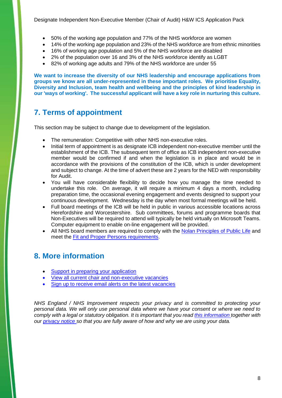- 50% of the working age population and 77% of the NHS workforce are women
- 14% of the working age population and 23% of the NHS workforce are from ethnic minorities
- 16% of working age population and 5% of the NHS workforce are disabled
- 2% of the population over 16 and 3% of the NHS workforce identify as LGBT
- 82% of working age adults and 79% of the NHS workforce are under 55

**We want to increase the diversity of our NHS leadership and encourage applications from groups we know are all under-represented in these important roles. We prioritise Equality, Diversity and Inclusion, team health and wellbeing and the principles of kind leadership in our 'ways of working'. The successful applicant will have a key role in nurturing this culture.**

# <span id="page-7-0"></span>**7. Terms of appointment**

This section may be subject to change due to development of the legislation.

- The remuneration: Competitive with other NHS non-executive roles.
- Initial term of appointment is as designate ICB independent non-executive member until the establishment of the ICB. The subsequent term of office as ICB independent non-executive member would be confirmed if and when the legislation is in place and would be in accordance with the provisions of the constitution of the ICB, which is under development and subject to change. At the time of advert these are 2 years for the NED with responsibility for Audit.
- You will have considerable flexibility to decide how you manage the time needed to undertake this role. On average, it will require a minimum 4 days a month, including preparation time, the occasional evening engagement and events designed to support your continuous development. Wednesday is the day when most formal meetings will be held.
- Full board meetings of the ICB will be held in public in various accessible locations across Herefordshire and Worcestershire. Sub committees, forums and programme boards that Non-Executives will be required to attend will typically be held virtually on Microsoft Teams. Computer equipment to enable on-line engagement will be provided.
- All NHS board members are required to comply with the [Nolan Principles of Public Life](https://www.gov.uk/government/publications/the-7-principles-of-public-life) and meet the [Fit and Proper Persons requirements.](https://www.england.nhs.uk/non-executive-opportunities/support-for-candidates/fit-proper-persons-requirements/)

## <span id="page-7-1"></span>**8. More information**

- [Support in preparing your application](https://www.england.nhs.uk/non-executive-opportunities/support-for-candidates/becoming-a-non-executive-director/)
- View all current chair and non-executive vacancies
- [Sign up to receive email alerts on the latest vacancies](https://www.england.nhs.uk/non-executive-opportunities/sign-up-alerts/)

*NHS England / NHS Improvement respects your privacy and is committed to protecting your personal data. We will only use personal data where we have your consent or where we need to comply with a legal or statutory obligation. It is important that you read [this information](https://www.england.nhs.uk/non-executive-opportunities/about-the-team/how-we-use-your-personal-information/) together with our [privacy notice](https://www.england.nhs.uk/nhse-nhsi-privacy-notice/nhs-improvements-privacy-notice/) so that you are fully aware of how and why we are using your data.*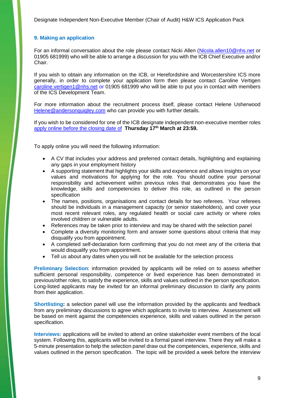## <span id="page-8-0"></span>**9. Making an application**

For an informal conversation about the role please contact Nicki Allen [\(Nicola.allen10@nhs.net](mailto:Nicola.allen10@nhs.net) or 01905 681999) who will be able to arrange a discussion for you with the ICB Chief Executive and/or Chair.

If you wish to obtain any information on the ICB, or Herefordshire and Worcestershire ICS more generally, in order to complete your application form then please contact Caroline Vertigen [caroline.vertigen1@nhs.net](mailto:caroline.vertigen1@nhs.net) or 01905 681999 who will be able to put you in contact with members of the ICS Development Team.

For more information about the recruitment process itself, please contact Helene Usherwood [Helene@andersonquigley.com](mailto:Helene@andersonquigley.com) who can provide you with further details.

If you wish to be considered for one of the ICB designate independent non-executive member roles [apply online before the closing date of](https://ics-ned-recruitment.com/job/herefordshire-and-worcestershire-designate-independent-non-executive-member-of-the-proposed-nhs-integrated-care-board.14283) **Thursday 17th March at 23:59.**

To apply online you will need the following information:

- A CV that includes your address and preferred contact details, highlighting and explaining any gaps in your employment history
- A supporting statement that highlights your skills and experience and allows insights on your values and motivations for applying for the role. You should outline your personal responsibility and achievement within previous roles that demonstrates you have the knowledge, skills and competencies to deliver this role, as outlined in the person specification
- The names, positions, organisations and contact details for two referees. Your referees should be individuals in a management capacity (or senior stakeholders), and cover your most recent relevant roles, any regulated health or social care activity or where roles involved children or vulnerable adults.
- References may be taken prior to interview and may be shared with the selection panel
- Complete a diversity monitoring form and answer some questions about criteria that may disqualify you from appointment.
- A completed self-declaration form confirming that you do not meet any of the criteria that would disqualify you from appointment.
- Tell us about any dates when you will not be available for the selection process

**Preliminary Selection:** information provided by applicants will be relied on to assess whether sufficient personal responsibility, competence or lived experience has been demonstrated in previous/other roles, to satisfy the experience, skills and values outlined in the person specification. Long-listed applicants may be invited for an informal preliminary discussion to clarify any points from their application.

**Shortlisting:** a selection panel will use the information provided by the applicants and feedback from any preliminary discussions to agree which applicants to invite to interview. Assessment will be based on merit against the competencies experience, skills and values outlined in the person specification.

**Interviews:** applications will be invited to attend an online stakeholder event members of the local system. Following this, applicants will be invited to a formal panel interview. There they will make a 5-minute presentation to help the selection panel draw out the competencies, experience, skills and values outlined in the person specification. The topic will be provided a week before the interview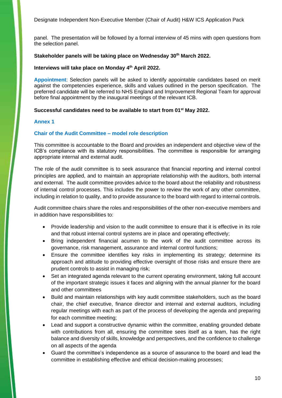panel. The presentation will be followed by a formal interview of 45 mins with open questions from the selection panel.

### **Stakeholder panels will be taking place on Wednesday 30th March 2022.**

#### **Interviews will take place on Monday 4 th April 2022.**

**Appointment**: Selection panels will be asked to identify appointable candidates based on merit against the competencies experience, skills and values outlined in the person specification. The preferred candidate will be referred to NHS England and Improvement Regional Team for approval before final appointment by the inaugural meetings of the relevant ICB.

#### **Successful candidates need to be available to start from 01st May 2022.**

#### <span id="page-9-0"></span>**Annex 1**

#### <span id="page-9-1"></span>**Chair of the Audit Committee – model role description**

This committee is accountable to the Board and provides an independent and objective view of the ICB's compliance with its statutory responsibilities. The committee is responsible for arranging appropriate internal and external audit.

The role of the audit committee is to seek assurance that financial reporting and internal control principles are applied, and to maintain an appropriate relationship with the auditors, both internal and external. The audit committee provides advice to the board about the reliability and robustness of internal control processes. This includes the power to review the work of any other committee, including in relation to quality, and to provide assurance to the board with regard to internal controls.

Audit committee chairs share the roles and responsibilities of the other non-executive members and in addition have responsibilities to:

- Provide leadership and vision to the audit committee to ensure that it is effective in its role and that robust internal control systems are in place and operating effectively;
- Bring independent financial acumen to the work of the audit committee across its governance, risk management, assurance and internal control functions;
- Ensure the committee identifies key risks in implementing its strategy; determine its approach and attitude to providing effective oversight of those risks and ensure there are prudent controls to assist in managing risk;
- Set an integrated agenda relevant to the current operating environment, taking full account of the important strategic issues it faces and aligning with the annual planner for the board and other committees
- Build and maintain relationships with key audit committee stakeholders, such as the board chair, the chief executive, finance director and internal and external auditors, including regular meetings with each as part of the process of developing the agenda and preparing for each committee meeting;
- Lead and support a constructive dynamic within the committee, enabling grounded debate with contributions from all, ensuring the committee sees itself as a team, has the right balance and diversity of skills, knowledge and perspectives, and the confidence to challenge on all aspects of the agenda
- Guard the committee's independence as a source of assurance to the board and lead the committee in establishing effective and ethical decision-making processes;